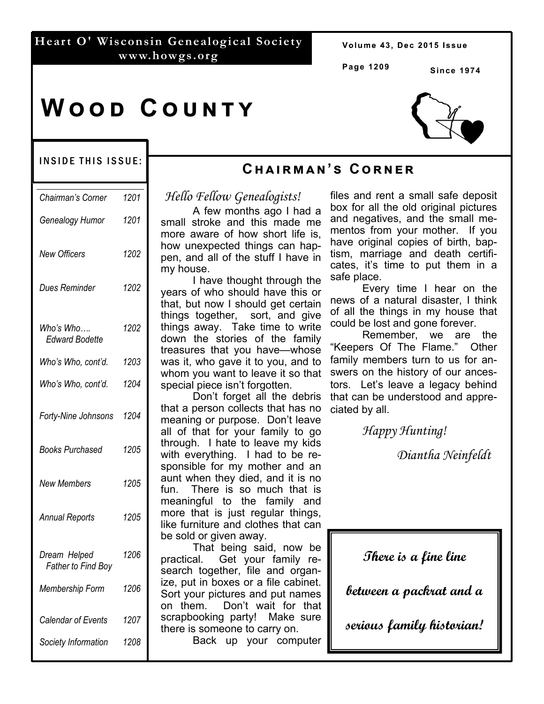## **Heart O' Wisconsin Genealogical Society www.howgs.org**

Volume 43, Dec 2015 Issue

**Page 1209** 

**Cඐඉඑකඕඉඖ'ඛ Cකඖඍක**

**Since 1974** 

# **WOOD COUNTY**



#### INSIDE THIS ISSUE:

| Chairman's Corner                         | 1201 |
|-------------------------------------------|------|
| Genealogy Humor                           | 1201 |
| New Officers                              | 1202 |
| Dues Reminder                             | 1202 |
| Who's Who….<br><b>Edward Bodette</b>      | 1202 |
| Who's Who, cont'd.                        | 1203 |
| Who's Who, cont'd.                        | 1204 |
| Forty-Nine Johnsons                       | 1204 |
| Books Purchased                           | 1205 |
| New Members                               | 1205 |
| <b>Annual Reports</b>                     | 1205 |
| Dream Helped<br><b>Father to Find Boy</b> | 1206 |
| Membership Form                           | 1206 |
| Calendar of Events                        | 1207 |
| Society Information                       | 1208 |

# *Hello Fellow Genealogists!*

 A few months ago I had a small stroke and this made me more aware of how short life is, how unexpected things can happen, and all of the stuff I have in my house.

 I have thought through the years of who should have this or that, but now I should get certain things together, sort, and give things away. Take time to write down the stories of the family treasures that you have—whose was it, who gave it to you, and to whom you want to leave it so that special piece isn't forgotten.

 Don't forget all the debris that a person collects that has no meaning or purpose. Don't leave all of that for your family to go through. I hate to leave my kids with everything. I had to be responsible for my mother and an aunt when they died, and it is no fun. There is so much that is meaningful to the family and more that is just regular things, like furniture and clothes that can be sold or given away.

 That being said, now be practical. Get your family research together, file and organize, put in boxes or a file cabinet. Sort your pictures and put names on them. Don't wait for that scrapbooking party! Make sure there is someone to carry on.

Back up your computer

files and rent a small safe deposit box for all the old original pictures and negatives, and the small mementos from your mother. If you have original copies of birth, baptism, marriage and death certificates, it's time to put them in a safe place.

 Every time I hear on the news of a natural disaster, I think of all the things in my house that could be lost and gone forever.

 Remember, we are the Keepers Of The Flame." Other family members turn to us for answers on the history of our ancestors. Let's leave a legacy behind that can be understood and appreciated by all.

 *Happy Hunting!* 

 *Diantha Neinfeldt*

**There is a fine line** 

**between a packrat and a** 

**serious family historian!**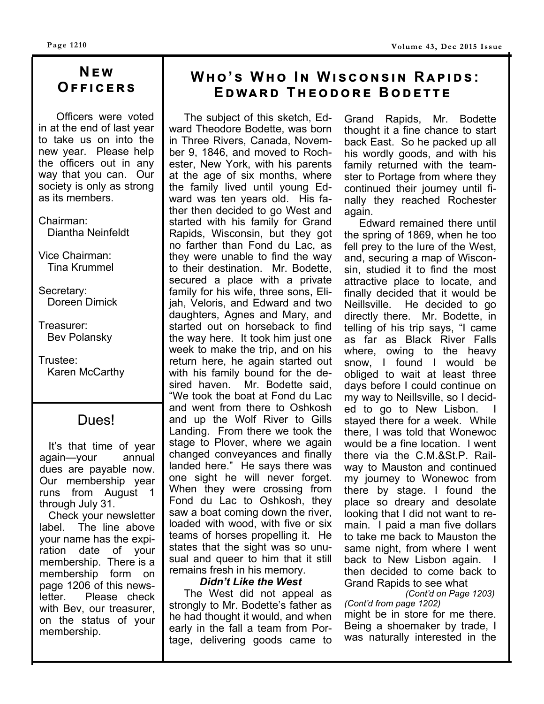# **Nඍ ඟ Oඎඎඑඋඍකඛ**

 Officers were voted in at the end of last year to take us on into the new year. Please help the officers out in any way that you can. Our society is only as strong as its members.

Chairman: Diantha Neinfeldt

Vice Chairman: Tina Krummel

Secretary: Doreen Dimick

Treasurer: Bev Polansky

Trustee: Karen McCarthy

# Dues!

 It's that time of year again—your annual dues are payable now. Our membership year runs from August 1 through July 31.

 Check your newsletter label. The line above your name has the expiration date of your membership. There is a membership form on page 1206 of this newsletter. Please check with Bev, our treasurer, on the status of your membership.

# $W$ **HO**'S WHO IN WISCONSIN RAPIDS: **EDWARD THEODORE BODETTE**

The subject of this sketch, Edward Theodore Bodette, was born in Three Rivers, Canada, November 9, 1846, and moved to Rochester, New York, with his parents at the age of six months, where the family lived until young Edward was ten years old. His father then decided to go West and started with his family for Grand Rapids, Wisconsin, but they got no farther than Fond du Lac, as they were unable to find the way to their destination. Mr. Bodette, secured a place with a private family for his wife, three sons, Elijah, Veloris, and Edward and two daughters, Agnes and Mary, and started out on horseback to find the way here. It took him just one week to make the trip, and on his return here, he again started out with his family bound for the desired haven. Mr. Bodette said, "We took the boat at Fond du Lac and went from there to Oshkosh and up the Wolf River to Gills Landing. From there we took the stage to Plover, where we again changed conveyances and finally landed here." He says there was one sight he will never forget. When they were crossing from Fond du Lac to Oshkosh, they saw a boat coming down the river, loaded with wood, with five or six teams of horses propelling it. He states that the sight was so unusual and queer to him that it still remains fresh in his memory.

### *Didn't Like the West*

 The West did not appeal as strongly to Mr. Bodette's father as he had thought it would, and when early in the fall a team from Portage, delivering goods came to Grand Rapids, Mr. Bodette thought it a fine chance to start back East. So he packed up all his wordly goods, and with his family returned with the teamster to Portage from where they continued their journey until finally they reached Rochester again.

 Edward remained there until the spring of 1869, when he too fell prey to the lure of the West, and, securing a map of Wisconsin, studied it to find the most attractive place to locate, and finally decided that it would be Neillsville. He decided to go directly there. Mr. Bodette, in telling of his trip says, "I came as far as Black River Falls where, owing to the heavy snow, I found I would be obliged to wait at least three days before I could continue on my way to Neillsville, so I decided to go to New Lisbon. I stayed there for a week. While there, I was told that Wonewoc would be a fine location. I went there via the C.M.&St.P. Railway to Mauston and continued my journey to Wonewoc from there by stage. I found the place so dreary and desolate looking that I did not want to remain. I paid a man five dollars to take me back to Mauston the same night, from where I went back to New Lisbon again. I then decided to come back to Grand Rapids to see what

 *(Cont'd on Page 1203) (Cont'd from page 1202)* 

might be in store for me there. Being a shoemaker by trade, I was naturally interested in the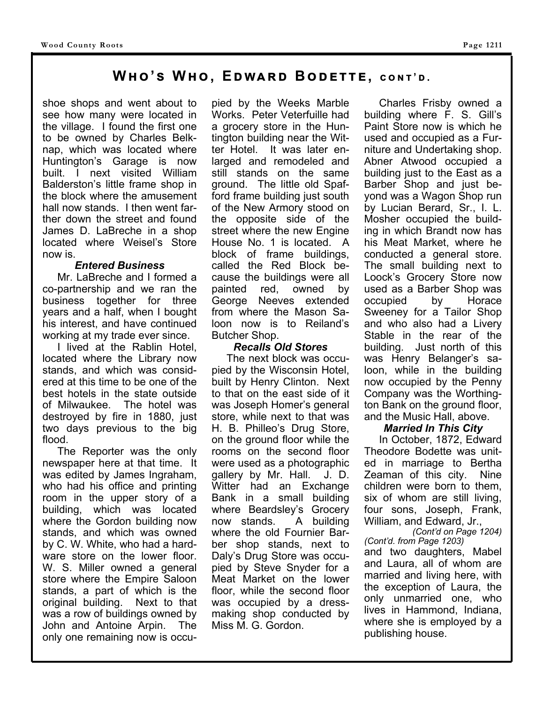# **Wඐ 'ඛ Wඐ , Eඌඟඉකඌ Bඌඍගගඍ, උඖග ' ඌ .**

shoe shops and went about to see how many were located in the village. I found the first one to be owned by Charles Belknap, which was located where Huntington's Garage is now built. I next visited William Balderston's little frame shop in the block where the amusement hall now stands. I then went farther down the street and found James D. LaBreche in a shop located where Weisel's Store now is.

#### *Entered Business*

 Mr. LaBreche and I formed a co-partnership and we ran the business together for three years and a half, when I bought his interest, and have continued working at my trade ever since.

 I lived at the Rablin Hotel, located where the Library now stands, and which was considered at this time to be one of the best hotels in the state outside of Milwaukee. The hotel was destroyed by fire in 1880, just two days previous to the big flood.

 The Reporter was the only newspaper here at that time. It was edited by James Ingraham, who had his office and printing room in the upper story of a building, which was located where the Gordon building now stands, and which was owned by C. W. White, who had a hardware store on the lower floor. W. S. Miller owned a general store where the Empire Saloon stands, a part of which is the original building. Next to that was a row of buildings owned by John and Antoine Arpin. The only one remaining now is occupied by the Weeks Marble Works. Peter Veterfuille had a grocery store in the Huntington building near the Witter Hotel. It was later enlarged and remodeled and still stands on the same ground. The little old Spafford frame building just south of the New Armory stood on the opposite side of the street where the new Engine House No. 1 is located. A block of frame buildings, called the Red Block because the buildings were all painted red, owned by George Neeves extended from where the Mason Saloon now is to Reiland's Butcher Shop.

#### *Recalls Old Stores*

 The next block was occupied by the Wisconsin Hotel, built by Henry Clinton. Next to that on the east side of it was Joseph Homer's general store, while next to that was H. B. Philleo's Drug Store, on the ground floor while the rooms on the second floor were used as a photographic gallery by Mr. Hall. J. D. Witter had an Exchange Bank in a small building where Beardsley's Grocery now stands. A building where the old Fournier Barber shop stands, next to Daly's Drug Store was occupied by Steve Snyder for a Meat Market on the lower floor, while the second floor was occupied by a dressmaking shop conducted by Miss M. G. Gordon.

 Charles Frisby owned a building where F. S. Gill's Paint Store now is which he used and occupied as a Furniture and Undertaking shop. Abner Atwood occupied a building just to the East as a Barber Shop and just beyond was a Wagon Shop run by Lucian Berard, Sr., I. L. Mosher occupied the building in which Brandt now has his Meat Market, where he conducted a general store. The small building next to Loock's Grocery Store now used as a Barber Shop was occupied by Horace Sweeney for a Tailor Shop and who also had a Livery Stable in the rear of the building. Just north of this was Henry Belanger's saloon, while in the building now occupied by the Penny Company was the Worthington Bank on the ground floor, and the Music Hall, above.

#### *Married In This City*

 In October, 1872, Edward Theodore Bodette was united in marriage to Bertha Zeaman of this city. Nine children were born to them, six of whom are still living, four sons, Joseph, Frank, William, and Edward, Jr.,

*(Cont'd on Page 1204) (Cont'd. from Page 1203)*  and two daughters, Mabel and Laura, all of whom are married and living here, with the exception of Laura, the only unmarried one, who lives in Hammond, Indiana, where she is employed by a publishing house.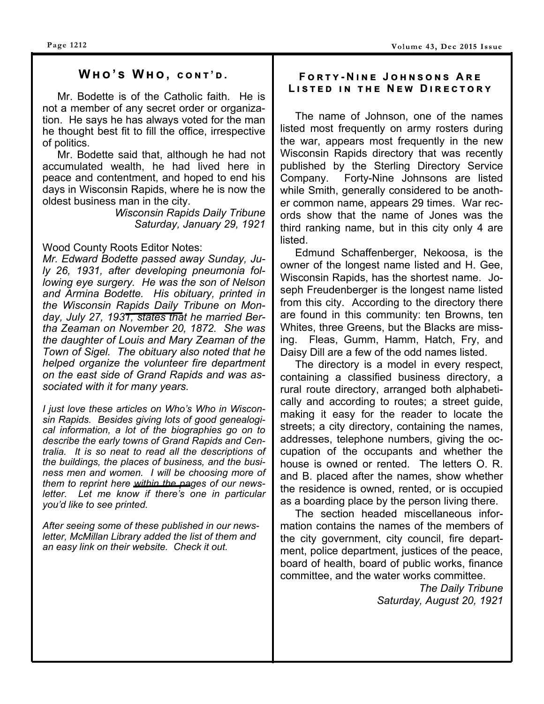## $WHO'S WHO, CONT'D.$

Mr. Bodette is of the Catholic faith. He is not a member of any secret order or organization. He says he has always voted for the man he thought best fit to fill the office, irrespective of politics.

 Mr. Bodette said that, although he had not accumulated wealth, he had lived here in peace and contentment, and hoped to end his days in Wisconsin Rapids, where he is now the oldest business man in the city.

*Wisconsin Rapids Daily Tribune Saturday, January 29, 1921* 

#### Wood County Roots Editor Notes:

*Mr. Edward Bodette passed away Sunday, July 26, 1931, after developing pneumonia following eye surgery. He was the son of Nelson and Armina Bodette. His obituary, printed in the Wisconsin Rapids Daily Tribune on Monday, July 27, 1931, states that he married Bertha Zeaman on November 20, 1872. She was the daughter of Louis and Mary Zeaman of the Town of Sigel. The obituary also noted that he helped organize the volunteer fire department on the east side of Grand Rapids and was associated with it for many years.* 

*I just love these articles on Who's Who in Wisconsin Rapids. Besides giving lots of good genealogical information, a lot of the biographies go on to describe the early towns of Grand Rapids and Centralia. It is so neat to read all the descriptions of the buildings, the places of business, and the business men and women. I will be choosing more of them to reprint here within the pages of our newsletter. Let me know if there's one in particular you'd like to see printed.* 

*After seeing some of these published in our newsletter, McMillan Library added the list of them and an easy link on their website. Check it out.* 

#### $F$   $O$   $R$   $T$   $Y$  -  $N$  in Equidant Sons Are  $L$  **L ISTED
IN THE NEW DIRECTORY**

 The name of Johnson, one of the names listed most frequently on army rosters during the war, appears most frequently in the new Wisconsin Rapids directory that was recently published by the Sterling Directory Service Company. Forty-Nine Johnsons are listed while Smith, generally considered to be another common name, appears 29 times. War records show that the name of Jones was the third ranking name, but in this city only 4 are listed.

 Edmund Schaffenberger, Nekoosa, is the owner of the longest name listed and H. Gee, Wisconsin Rapids, has the shortest name. Joseph Freudenberger is the longest name listed from this city. According to the directory there are found in this community: ten Browns, ten Whites, three Greens, but the Blacks are missing. Fleas, Gumm, Hamm, Hatch, Fry, and Daisy Dill are a few of the odd names listed.

 The directory is a model in every respect, containing a classified business directory, a rural route directory, arranged both alphabetically and according to routes; a street guide, making it easy for the reader to locate the streets; a city directory, containing the names, addresses, telephone numbers, giving the occupation of the occupants and whether the house is owned or rented. The letters O. R. and B. placed after the names, show whether the residence is owned, rented, or is occupied as a boarding place by the person living there.

 The section headed miscellaneous information contains the names of the members of the city government, city council, fire department, police department, justices of the peace, board of health, board of public works, finance committee, and the water works committee.

> *The Daily Tribune Saturday, August 20, 1921*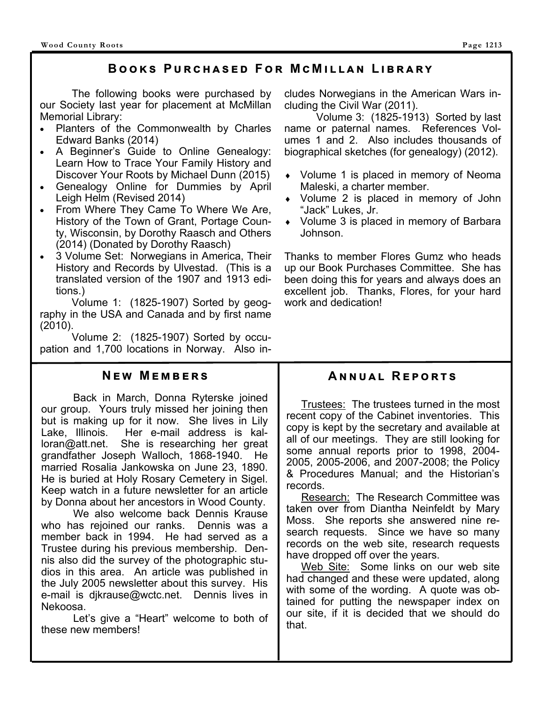# **BOOKS PURCHASED FOR MCMILLAN LIBRARY**

 The following books were purchased by our Society last year for placement at McMillan Memorial Library:

- Planters of the Commonwealth by Charles Edward Banks (2014)
- A Beginner's Guide to Online Genealogy: Learn How to Trace Your Family History and Discover Your Roots by Michael Dunn (2015)
- Genealogy Online for Dummies by April Leigh Helm (Revised 2014)
- From Where They Came To Where We Are, History of the Town of Grant, Portage County, Wisconsin, by Dorothy Raasch and Others (2014) (Donated by Dorothy Raasch)
- 3 Volume Set: Norwegians in America, Their History and Records by Ulvestad. (This is a translated version of the 1907 and 1913 editions.)

 Volume 1: (1825-1907) Sorted by geography in the USA and Canada and by first name (2010).

 Volume 2: (1825-1907) Sorted by occupation and 1,700 locations in Norway. Also in-

## **NEW MEMBERS**

 Back in March, Donna Ryterske joined our group. Yours truly missed her joining then but is making up for it now. She lives in Lily Lake, Illinois. Her e-mail address is kalloran@att.net. She is researching her great grandfather Joseph Walloch, 1868-1940. He married Rosalia Jankowska on June 23, 1890. He is buried at Holy Rosary Cemetery in Sigel. Keep watch in a future newsletter for an article by Donna about her ancestors in Wood County.

 We also welcome back Dennis Krause who has rejoined our ranks. Dennis was a member back in 1994. He had served as a Trustee during his previous membership. Dennis also did the survey of the photographic studios in this area. An article was published in the July 2005 newsletter about this survey. His e-mail is djkrause@wctc.net. Dennis lives in Nekoosa.

 Let's give a "Heart" welcome to both of these new members!

cludes Norwegians in the American Wars including the Civil War (2011).

 Volume 3: (1825-1913) Sorted by last name or paternal names. References Volumes 1 and 2. Also includes thousands of biographical sketches (for genealogy) (2012).

- Volume 1 is placed in memory of Neoma Maleski, a charter member.
- Volume 2 is placed in memory of John "Jack" Lukes, Jr.
- Volume 3 is placed in memory of Barbara Johnson.

Thanks to member Flores Gumz who heads up our Book Purchases Committee. She has been doing this for years and always does an excellent job. Thanks, Flores, for your hard work and dedication!

# **ANNUAL REPORTS**

 Trustees: The trustees turned in the most recent copy of the Cabinet inventories. This copy is kept by the secretary and available at all of our meetings. They are still looking for some annual reports prior to 1998, 2004- 2005, 2005-2006, and 2007-2008; the Policy & Procedures Manual; and the Historian's records.

Research: The Research Committee was taken over from Diantha Neinfeldt by Mary Moss. She reports she answered nine research requests. Since we have so many records on the web site, research requests have dropped off over the years.

Web Site: Some links on our web site had changed and these were updated, along with some of the wording. A quote was obtained for putting the newspaper index on our site, if it is decided that we should do that.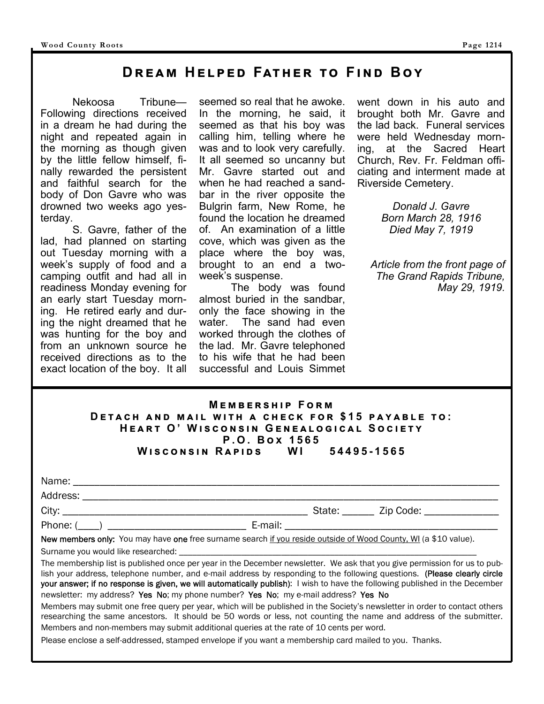# **DREAM HELPED FATHER TO FIND BOY**

 Nekoosa Tribune— Following directions received in a dream he had during the night and repeated again in the morning as though given by the little fellow himself, finally rewarded the persistent and faithful search for the body of Don Gavre who was drowned two weeks ago yesterday.

 S. Gavre, father of the lad, had planned on starting out Tuesday morning with a week's supply of food and a camping outfit and had all in readiness Monday evening for an early start Tuesday morning. He retired early and during the night dreamed that he was hunting for the boy and from an unknown source he received directions as to the exact location of the boy. It all seemed so real that he awoke. In the morning, he said, it seemed as that his boy was calling him, telling where he was and to look very carefully. It all seemed so uncanny but Mr. Gavre started out and when he had reached a sandbar in the river opposite the Bulgrin farm, New Rome, he found the location he dreamed of. An examination of a little cove, which was given as the place where the boy was, brought to an end a twoweek's suspense.

 The body was found almost buried in the sandbar, only the face showing in the water. The sand had even worked through the clothes of the lad. Mr. Gavre telephoned to his wife that he had been successful and Louis Simmet went down in his auto and brought both Mr. Gavre and the lad back. Funeral services were held Wednesday morning, at the Sacred Heart Church, Rev. Fr. Feldman officiating and interment made at Riverside Cemetery.

> *Donald J. Gavre Born March 28, 1916 Died May 7, 1919*

*Article from the front page of The Grand Rapids Tribune, May 29, 1919.*

| <b>MEMBERSHIP FORM</b>                            |  |  |  |  |
|---------------------------------------------------|--|--|--|--|
| DETACH AND MAIL WITH A CHECK FOR \$15 PAYABLE TO: |  |  |  |  |
| HEART O' WISCONSIN GENEALOGICAL SOCIETY           |  |  |  |  |
| P.O. Box 1565                                     |  |  |  |  |
| Wisconsin Rapids WI 54495-1565                    |  |  |  |  |

| Name:    |        |           |  |
|----------|--------|-----------|--|
| Address: |        |           |  |
| City:    | State: | Zip Code: |  |

Phone: (\_\_\_\_) \_\_\_\_\_\_\_\_\_\_\_\_\_\_\_\_\_\_\_\_\_\_\_\_\_\_ E-mail: \_\_\_\_\_\_\_\_\_\_\_\_\_\_\_\_\_\_\_\_\_\_\_\_\_\_\_\_\_\_\_\_\_\_\_\_\_\_\_\_

New members only: You may have one free surname search if you reside outside of Wood County, WI (a \$10 value).

Surname you would like researched:

The membership list is published once per year in the December newsletter. We ask that you give permission for us to publish your address, telephone number, and e-mail address by responding to the following questions. (Please clearly circle your answer; if no response is given, we will automatically publish): I wish to have the following published in the December newsletter: my address? Yes No; my phone number? Yes No; my e-mail address? Yes No

Members may submit one free query per year, which will be published in the Society's newsletter in order to contact others researching the same ancestors. It should be 50 words or less, not counting the name and address of the submitter. Members and non-members may submit additional queries at the rate of 10 cents per word.

Please enclose a self-addressed, stamped envelope if you want a membership card mailed to you. Thanks.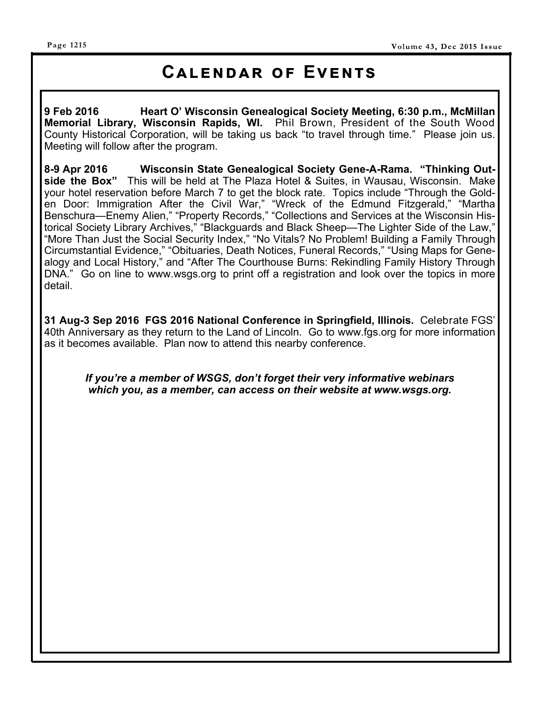#### **Page 1215**

# **CALENDAR OF EVENTS**

**9 Feb 2016 Heart O' Wisconsin Genealogical Society Meeting, 6:30 p.m., McMillan Memorial Library, Wisconsin Rapids, WI.** Phil Brown, President of the South Wood County Historical Corporation, will be taking us back "to travel through time." Please join us. Meeting will follow after the program.

**8-9 Apr 2016 Wisconsin State Genealogical Society Gene-A-Rama. "Thinking Outside the Box"** This will be held at The Plaza Hotel & Suites, in Wausau, Wisconsin. Make your hotel reservation before March 7 to get the block rate. Topics include "Through the Golden Door: Immigration After the Civil War," "Wreck of the Edmund Fitzgerald," "Martha Benschura—Enemy Alien," "Property Records," "Collections and Services at the Wisconsin Historical Society Library Archives," "Blackguards and Black Sheep—The Lighter Side of the Law," "More Than Just the Social Security Index," "No Vitals? No Problem! Building a Family Through Circumstantial Evidence," "Obituaries, Death Notices, Funeral Records," "Using Maps for Genealogy and Local History," and "After The Courthouse Burns: Rekindling Family History Through DNA." Go on line to www.wsgs.org to print off a registration and look over the topics in more detail.

**31 Aug-3 Sep 2016 FGS 2016 National Conference in Springfield, Illinois.** Celebrate FGS' 40th Anniversary as they return to the Land of Lincoln. Go to www.fgs.org for more information as it becomes available. Plan now to attend this nearby conference.

*If you're a member of WSGS, don't forget their very informative webinars which you, as a member, can access on their website at www.wsgs.org.*